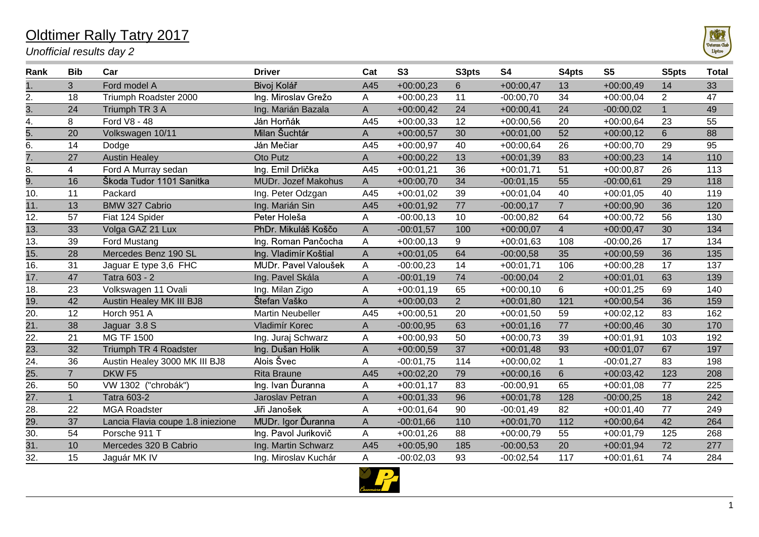## Oldtimer Rally Tatry 2017

*Unofficial results day 2*



| Rank              | <b>Bib</b>     | Car                               | <b>Driver</b>              | Cat          | <b>S3</b>   | S3pts          | <b>S4</b>   | S4pts          | S <sub>5</sub> | S5pts          | <b>Total</b> |
|-------------------|----------------|-----------------------------------|----------------------------|--------------|-------------|----------------|-------------|----------------|----------------|----------------|--------------|
|                   | 3              | Ford model A                      | Bivoj Kolář                | A45          | $+00:00,23$ | $6\phantom{1}$ | $+00:00,47$ | 13             | $+00:00,49$    | 14             | 33           |
| 2.                | 18             | Triumph Roadster 2000             | Ing. Miroslav Grežo        | Α            | $+00:00,23$ | 11             | $-00:00,70$ | 34             | $+00:00,04$    | $\overline{2}$ | 47           |
| 3.                | 24             | Triumph TR 3 A                    | Ing. Marián Bazala         | A            | $+00:00,42$ | 24             | $+00:00,41$ | 24             | $-00:00,02$    | $\mathbf{1}$   | 49           |
| 4.                | 8              | Ford V8 - 48                      | Ján Horňák                 | A45          | $+00:00,33$ | 12             | $+00:00,56$ | 20             | $+00:00,64$    | 23             | 55           |
| $\overline{5}$ .  | 20             | Volkswagen 10/11                  | Milan Šuchtár              | A            | $+00:00,57$ | 30             | $+00:01,00$ | 52             | $+00:00,12$    | 6              | 88           |
| 6.                | 14             | Dodge                             | Ján Mečiar                 | A45          | $+00:00,97$ | 40             | $+00:00,64$ | 26             | $+00:00,70$    | 29             | 95           |
| $\overline{7}$ .  | 27             | <b>Austin Healey</b>              | Oto Putz                   | A            | $+00:00,22$ | 13             | $+00:01,39$ | 83             | $+00:00,23$    | 14             | 110          |
| 8.                | $\overline{4}$ | Ford A Murray sedan               | Ing. Emil Drlička          | A45          | $+00:01,21$ | 36             | $+00:01,71$ | 51             | $+00:00,87$    | 26             | 113          |
| 9.                | 16             | Škoda Tudor 1101 Sanitka          | <b>MUDr. Jozef Makohus</b> | A            | $+00:00,70$ | 34             | $-00:01,15$ | 55             | $-00:00,61$    | 29             | 118          |
| 10.               | 11             | Packard                           | Ing. Peter Odzgan          | A45          | $+00:01,02$ | 39             | $+00:01,04$ | 40             | $+00:01,05$    | 40             | 119          |
| 11.               | 13             | <b>BMW 327 Cabrio</b>             | Ing. Marián Sin            | A45          | $+00:01,92$ | 77             | $-00:00,17$ | $\overline{7}$ | $+00:00,90$    | 36             | 120          |
| 12.               | 57             | Fiat 124 Spider                   | Peter Holeša               | А            | $-00:00,13$ | 10             | $-00:00,82$ | 64             | $+00:00,72$    | 56             | 130          |
| $\overline{13}$ . | 33             | Volga GAZ 21 Lux                  | PhDr. Mikuláš Koščo        | A            | $-00:01,57$ | 100            | $+00:00,07$ | $\overline{4}$ | $+00:00,47$    | 30             | 134          |
| 13.               | 39             | Ford Mustang                      | Ing. Roman Pančocha        | А            | $+00:00,13$ | 9              | $+00:01,63$ | 108            | $-00:00,26$    | 17             | 134          |
| $\overline{15}$ . | 28             | Mercedes Benz 190 SL              | Ing. Vladimír Koštial      | $\mathsf{A}$ | $+00:01,05$ | 64             | $-00:00,58$ | 35             | $+00:00,59$    | 36             | 135          |
| 16.               | 31             | Jaguar E type 3,6 FHC             | MUDr. Pavel Valoušek       | A            | $-00:00,23$ | 14             | $+00:01,71$ | 106            | $+00:00,28$    | 17             | 137          |
| 17.               | 47             | Tatra 603 - 2                     | Ing. Pavel Skála           | A            | $-00:01,19$ | 74             | $-00:00,04$ | $\overline{2}$ | $+00:01,01$    | 63             | 139          |
| 18.               | 23             | Volkswagen 11 Ovali               | Ing. Milan Zigo            | Α            | $+00:01,19$ | 65             | $+00:00,10$ | 6              | $+00:01,25$    | 69             | 140          |
| $\overline{19}$ . | 42             | Austin Healey MK III BJ8          | Štefan Vaško               | A            | $+00:00,03$ | $2^{\circ}$    | $+00:01,80$ | 121            | $+00:00,54$    | 36             | 159          |
| $\overline{20}$   | 12             | Horch 951 A                       | <b>Martin Neubeller</b>    | A45          | $+00:00,51$ | 20             | $+00:01,50$ | 59             | $+00:02,12$    | 83             | 162          |
| $\overline{21}$ . | 38             | Jaguar 3.8 S                      | Vladimír Korec             | A            | $-00:00,95$ | 63             | $+00:01,16$ | 77             | $+00:00,46$    | 30             | 170          |
| 22.               | 21             | <b>MG TF 1500</b>                 | Ing. Juraj Schwarz         | Α            | $+00:00,93$ | 50             | $+00:00,73$ | 39             | $+00:01,91$    | 103            | 192          |
| $\overline{23}$ . | 32             | Triumph TR 4 Roadster             | Ing. Dušan Holik           | A            | $+00:00,59$ | 37             | $+00:01,48$ | 93             | $+00:01,07$    | 67             | 197          |
| 24.               | 36             | Austin Healey 3000 MK III BJ8     | Alois Švec                 | А            | $-00:01,75$ | 114            | $+00:00,02$ | $\mathbf{1}$   | $-00:01,27$    | 83             | 198          |
| $\overline{25}$   | $\overline{7}$ | DKW <sub>F5</sub>                 | <b>Rita Braune</b>         | A45          | $+00:02,20$ | 79             | $+00:00,16$ | $6\phantom{1}$ | $+00:03,42$    | 123            | 208          |
| $\overline{26}$   | 50             | VW 1302 ("chrobák")               | Ing. Ivan Ďuranna          | Α            | $+00:01,17$ | 83             | $-00:00,91$ | 65             | $+00:01,08$    | 77             | 225          |
| $\overline{27}$ . | $\mathbf{1}$   | <b>Tatra 603-2</b>                | Jaroslav Petran            | Α            | $+00:01,33$ | 96             | $+00:01,78$ | 128            | $-00:00,25$    | 18             | 242          |
| $\overline{28}$   | 22             | <b>MGA Roadster</b>               | Jiři Janošek               | Α            | $+00:01,64$ | 90             | $-00:01,49$ | 82             | $+00:01,40$    | 77             | 249          |
| $\overline{29}$ . | 37             | Lancia Flavia coupe 1.8 iniezione | MUDr. Igor Ďuranna         | A            | $-00:01,66$ | 110            | $+00:01,70$ | 112            | $+00:00,64$    | 42             | 264          |
| 30.               | 54             | Porsche 911 T                     | Ing. Pavol Jurikovič       | Α            | $+00:01,26$ | 88             | $+00:00,79$ | 55             | $+00:01,79$    | 125            | 268          |
| 31.               | 10             | Mercedes 320 B Cabrio             | Ing. Martin Schwarz        | A45          | $+00:05,90$ | 185            | $-00:00,53$ | 20             | $+00:01,94$    | 72             | 277          |
| $\overline{32}$ . | 15             | Jaguár MK IV                      | Ing. Miroslav Kuchár       | Α            | $-00:02,03$ | 93             | $-00:02,54$ | 117            | $+00:01,61$    | 74             | 284          |